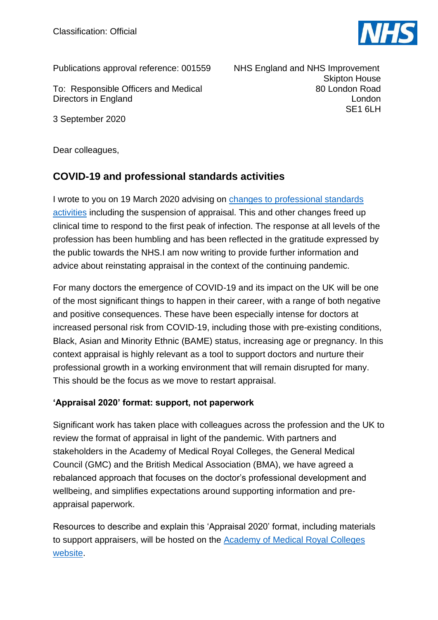

Publications approval reference: 001559

To: Responsible Officers and Medical Directors in England

3 September 2020

 NHS England and NHS Improvement Skipton House 80 London Road London SE1 6LH

Dear colleagues,

## **COVID-19 and professional standards activities**

I wrote to you on 19 March 2020 advising on [changes to professional standards](https://www.england.nhs.uk/coronavirus/wp-content/uploads/sites/52/2020/03/letter-from-prof-powis-to-ros-and-mds-19-march-2020.pdf)  [activities](https://www.england.nhs.uk/coronavirus/wp-content/uploads/sites/52/2020/03/letter-from-prof-powis-to-ros-and-mds-19-march-2020.pdf) including the suspension of appraisal. This and other changes freed up clinical time to respond to the first peak of infection. The response at all levels of the profession has been humbling and has been reflected in the gratitude expressed by the public towards the NHS.I am now writing to provide further information and advice about reinstating appraisal in the context of the continuing pandemic.

For many doctors the emergence of COVID-19 and its impact on the UK will be one of the most significant things to happen in their career, with a range of both negative and positive consequences. These have been especially intense for doctors at increased personal risk from COVID-19, including those with pre-existing conditions, Black, Asian and Minority Ethnic (BAME) status, increasing age or pregnancy. In this context appraisal is highly relevant as a tool to support doctors and nurture their professional growth in a working environment that will remain disrupted for many. This should be the focus as we move to restart appraisal.

## **'Appraisal 2020' format: support, not paperwork**

Significant work has taken place with colleagues across the profession and the UK to review the format of appraisal in light of the pandemic. With partners and stakeholders in the Academy of Medical Royal Colleges, the General Medical Council (GMC) and the British Medical Association (BMA), we have agreed a rebalanced approach that focuses on the doctor's professional development and wellbeing, and simplifies expectations around supporting information and preappraisal paperwork.

Resources to describe and explain this 'Appraisal 2020' format, including materials to support appraisers, will be hosted on the [Academy of Medical Royal Colleges](https://www.aomrc.org.uk/revalidation-cpd/appraisal-revalidation-during-covid-19/)  [website.](https://www.aomrc.org.uk/revalidation-cpd/appraisal-revalidation-during-covid-19/)